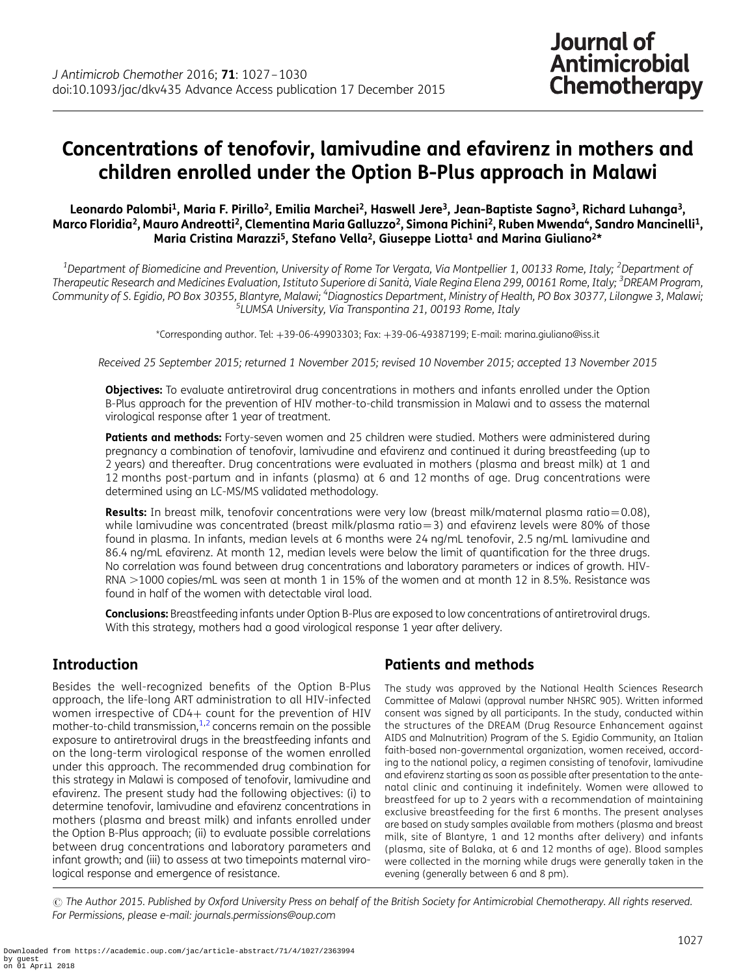# Concentrations of tenofovir, lamivudine and efavirenz in mothers and children enrolled under the Option B-Plus approach in Malawi

#### Leonardo Palombi<sup>1</sup>, Maria F. Pirillo<sup>2</sup>, Emilia Marchei<sup>2</sup>, Haswell Jere<sup>3</sup>, Jean-Baptiste Sagno<sup>3</sup>, Richard Luhanga<sup>3</sup>, Marco Floridia<sup>2</sup>, Mauro Andreotti<sup>2</sup>, Clementina Maria Galluzzo<sup>2</sup>, Simona Pichini<sup>2</sup>, Ruben Mwenda<sup>4</sup>, Sandro Mancinelli<sup>1</sup>, Maria Cristina Marazzi<sup>5</sup>, Stefano Vella<sup>2</sup>, Giuseppe Liotta<sup>1</sup> and Marina Giuliano<sup>2\*</sup>

 $^{\rm 1}$ Department of Biomedicine and Prevention, University of Rome Tor Vergata, Via Montpellier 1, 00133 Rome, Italy; <sup>2</sup>Department of Therapeutic Research and Medicines Evaluation, Istituto Superiore di Sanità, Viale Regina Elena 299, 00161 Rome, Italy; <sup>3</sup>DREAM Program, Community of S. Egidio, PO Box 30355, Blantyre, Malawi; <sup>4</sup>Diagnostics Department, Ministry of Health, PO Box 30377, Lilongwe 3, Malawi;<br><sup>5</sup>LLMSA Liniversity, Via Transponting 21, 00193 Pome, Italy  $5$ LUMSA University, Via Transpontina 21, 00193 Rome, Italy

\*Corresponding author. Tel: +39-06-49903303; Fax: +39-06-49387199; E-mail: marina.giuliano@iss.it

Received 25 September 2015; returned 1 November 2015; revised 10 November 2015; accepted 13 November 2015

**Objectives:** To evaluate antiretroviral drug concentrations in mothers and infants enrolled under the Option B-Plus approach for the prevention of HIV mother-to-child transmission in Malawi and to assess the maternal virological response after 1 year of treatment.

Patients and methods: Forty-seven women and 25 children were studied. Mothers were administered during pregnancy a combination of tenofovir, lamivudine and efavirenz and continued it during breastfeeding (up to 2 years) and thereafter. Drug concentrations were evaluated in mothers (plasma and breast milk) at 1 and 12 months post-partum and in infants (plasma) at 6 and 12 months of age. Drug concentrations were determined using an LC-MS/MS validated methodology.

**Results:** In breast milk, tenofovir concentrations were very low (breast milk/maternal plasma ratio=0.08), while lamivudine was concentrated (breast milk/plasma ratio=3) and efavirenz levels were 80% of those found in plasma. In infants, median levels at 6 months were 24 ng/mL tenofovir, 2.5 ng/mL lamivudine and 86.4 ng/mL efavirenz. At month 12, median levels were below the limit of quantification for the three drugs. No correlation was found between drug concentrations and laboratory parameters or indices of growth. HIV-RNA >1000 copies/mL was seen at month 1 in 15% of the women and at month 12 in 8.5%. Resistance was found in half of the women with detectable viral load.

Conclusions: Breastfeeding infants under Option B-Plus are exposed to low concentrations of antiretroviral drugs. With this strategy, mothers had a good virological response 1 year after delivery.

# Introduction

Besides the well-recognized benefits of the Option B-Plus approach, the life-long ART administration to all HIV-infected women irrespective of CD4+ count for the prevention of HIV mother-to-child transmission, $1,2$  $1,2$  $1,2$  concerns remain on the possible exposure to antiretroviral drugs in the breastfeeding infants and on the long-term virological response of the women enrolled under this approach. The recommended drug combination for this strategy in Malawi is composed of tenofovir, lamivudine and efavirenz. The present study had the following objectives: (i) to determine tenofovir, lamivudine and efavirenz concentrations in mothers (plasma and breast milk) and infants enrolled under the Option B-Plus approach; (ii) to evaluate possible correlations between drug concentrations and laboratory parameters and infant growth; and (iii) to assess at two timepoints maternal virological response and emergence of resistance.

# Patients and methods

The study was approved by the National Health Sciences Research Committee of Malawi (approval number NHSRC 905). Written informed consent was signed by all participants. In the study, conducted within the structures of the DREAM (Drug Resource Enhancement against AIDS and Malnutrition) Program of the S. Egidio Community, an Italian faith-based non-governmental organization, women received, according to the national policy, a regimen consisting of tenofovir, lamivudine and efavirenz starting as soon as possible after presentation to the antenatal clinic and continuing it indefinitely. Women were allowed to breastfeed for up to 2 years with a recommendation of maintaining exclusive breastfeeding for the first 6 months. The present analyses are based on study samples available from mothers (plasma and breast milk, site of Blantyre, 1 and 12 months after delivery) and infants (plasma, site of Balaka, at 6 and 12 months of age). Blood samples were collected in the morning while drugs were generally taken in the evening (generally between 6 and 8 pm).

© The Author 2015. Published by Oxford University Press on behalf of the British Society for Antimicrobial Chemotherapy. All rights reserved. For Permissions, please e-mail: journals.permissions@oup.com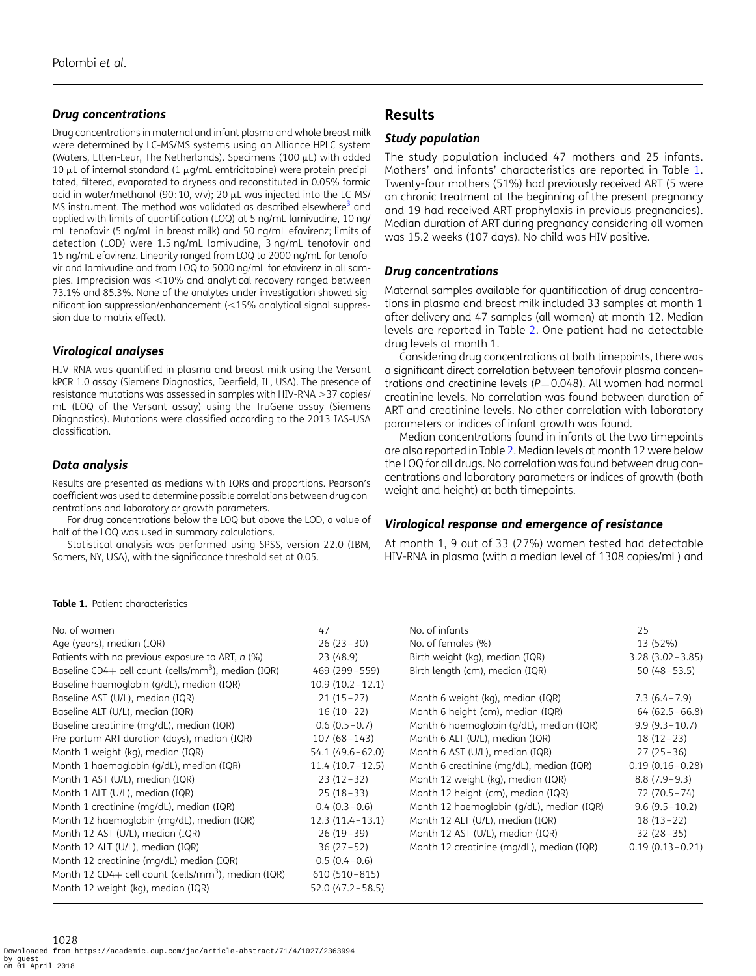#### Drug concentrations

Drug concentrations in maternal and infant plasma and whole breast milk were determined by LC-MS/MS systems using an Alliance HPLC system (Waters, Etten-Leur, The Netherlands). Specimens (100  $\mu$ L) with added 10  $\mu$ L of internal standard (1  $\mu$ g/mL emtricitabine) were protein precipitated, filtered, evaporated to dryness and reconstituted in 0.05% formic acid in water/methanol (90:10, v/v); 20 µL was injected into the LC-MS/ MS instrument. The method was validated as described elsewhere<sup>[3](#page-3-0)</sup> and applied with limits of quantification (LOQ) at 5 ng/mL lamivudine, 10 ng/ mL tenofovir (5 ng/mL in breast milk) and 50 ng/mL efavirenz; limits of detection (LOD) were 1.5 ng/mL lamivudine, 3 ng/mL tenofovir and 15 ng/mL efavirenz. Linearity ranged from LOQ to 2000 ng/mL for tenofovir and lamivudine and from LOQ to 5000 ng/mL for efavirenz in all samples. Imprecision was  $<$ 10% and analytical recovery ranged between 73.1% and 85.3%. None of the analytes under investigation showed significant ion suppression/enhancement  $\approx$  15% analytical signal suppression due to matrix effect).

#### Virological analyses

HIV-RNA was quantified in plasma and breast milk using the Versant kPCR 1.0 assay (Siemens Diagnostics, Deerfield, IL, USA). The presence of resistance mutations was assessed in samples with HIV-RNA > 37 copies/ mL (LOQ of the Versant assay) using the TruGene assay (Siemens Diagnostics). Mutations were classified according to the 2013 IAS-USA classification.

#### Data analysis

Results are presented as medians with IQRs and proportions. Pearson's coefficient was used to determine possible correlations between drug concentrations and laboratory or growth parameters.

For drug concentrations below the LOQ but above the LOD, a value of half of the LOQ was used in summary calculations.

Statistical analysis was performed using SPSS, version 22.0 (IBM, Somers, NY, USA), with the significance threshold set at 0.05.

# Results

#### Study population

The study population included 47 mothers and 25 infants. Mothers' and infants' characteristics are reported in Table 1. Twenty-four mothers (51%) had previously received ART (5 were on chronic treatment at the beginning of the present pregnancy and 19 had received ART prophylaxis in previous pregnancies). Median duration of ART during pregnancy considering all women was 15.2 weeks (107 days). No child was HIV positive.

#### Drug concentrations

Maternal samples available for quantification of drug concentrations in plasma and breast milk included 33 samples at month 1 after delivery and 47 samples (all women) at month 12. Median levels are reported in Table [2](#page-2-0). One patient had no detectable drug levels at month 1.

Considering drug concentrations at both timepoints, there was a significant direct correlation between tenofovir plasma concentrations and creatinine levels ( $P = 0.048$ ). All women had normal creatinine levels. No correlation was found between duration of ART and creatinine levels. No other correlation with laboratory parameters or indices of infant growth was found.

Median concentrations found in infants at the two timepoints are also reported in Table [2](#page-2-0). Median levels at month 12 were below the LOQ for all drugs. No correlation was found between drug concentrations and laboratory parameters or indices of growth (both weight and height) at both timepoints.

#### Virological response and emergence of resistance

At month 1, 9 out of 33 (27%) women tested had detectable HIV-RNA in plasma (with a median level of 1308 copies/mL) and

#### Table 1. Patient characteristics

| No. of women                                                    | 47                  | No. of infants                            | 25                  |
|-----------------------------------------------------------------|---------------------|-------------------------------------------|---------------------|
| Age (years), median (IQR)                                       | $26(23-30)$         | No. of females (%)                        | 13 (52%)            |
| Patients with no previous exposure to ART, n (%)                | 23 (48.9)           | Birth weight (kg), median (IQR)           | $3.28(3.02 - 3.85)$ |
| Baseline CD4+ cell count (cells/mm <sup>3</sup> ), median (IQR) | 469 (299 - 559)     | Birth length (cm), median (IQR)           | $50(48 - 53.5)$     |
| Baseline haemoglobin (g/dL), median (IQR)                       | $10.9(10.2 - 12.1)$ |                                           |                     |
| Baseline AST (U/L), median (IQR)                                | $21(15-27)$         | Month 6 weight (kg), median (IQR)         | $7.3(6.4 - 7.9)$    |
| Baseline ALT (U/L), median (IQR)                                | $16(10-22)$         | Month 6 height (cm), median (IQR)         | $64(62.5 - 66.8)$   |
| Baseline creatinine (mg/dL), median (IQR)                       | $0.6(0.5-0.7)$      | Month 6 haemoglobin (g/dL), median (IQR)  | $9.9(9.3 - 10.7)$   |
| Pre-partum ART duration (days), median (IQR)                    | $107(68 - 143)$     | Month 6 ALT (U/L), median (IQR)           | $18(12-23)$         |
| Month 1 weight (kg), median (IQR)                               | $54.1(49.6-62.0)$   | Month 6 AST (U/L), median (IQR)           | $27(25-36)$         |
| Month 1 haemoglobin (g/dL), median (IQR)                        | $11.4(10.7-12.5)$   | Month 6 creatinine (mg/dL), median (IQR)  | $0.19(0.16 - 0.28)$ |
| Month 1 AST (U/L), median (IQR)                                 | $23(12-32)$         | Month 12 weight (kg), median (IQR)        | $8.8(7.9-9.3)$      |
| Month 1 ALT (U/L), median (IQR)                                 | $25(18-33)$         | Month 12 height (cm), median (IQR)        | $72(70.5 - 74)$     |
| Month 1 creatinine (mg/dL), median (IQR)                        | $0.4(0.3-0.6)$      | Month 12 haemoglobin (g/dL), median (IQR) | $9.6(9.5 - 10.2)$   |
| Month 12 haemoglobin (mg/dL), median (IQR)                      | $12.3(11.4 - 13.1)$ | Month 12 ALT (U/L), median (IQR)          | $18(13-22)$         |
| Month 12 AST (U/L), median (IQR)                                | $26(19-39)$         | Month 12 AST (U/L), median (IQR)          | $32(28-35)$         |
| Month 12 ALT (U/L), median (IQR)                                | $36(27-52)$         | Month 12 creatinine (mg/dL), median (IQR) | $0.19(0.13 - 0.21)$ |
| Month 12 creatinine (mg/dL) median (IQR)                        | $0.5(0.4-0.6)$      |                                           |                     |
| Month 12 CD4+ cell count (cells/mm <sup>3</sup> ), median (IQR) | $610(510-815)$      |                                           |                     |
| Month 12 weight (kg), median (IQR)                              | $52.0(47.2 - 58.5)$ |                                           |                     |

1028 Downloaded from https://academic.oup.com/jac/article-abstract/71/4/1027/2363994 by guest on 01 April 2018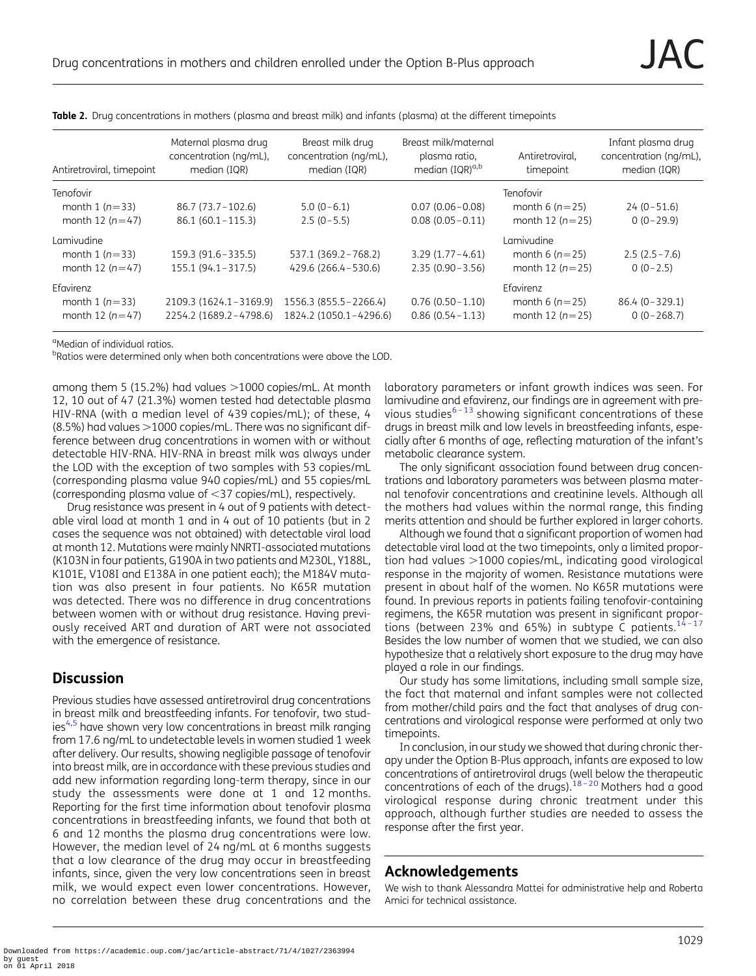<span id="page-2-0"></span>

|  | Table 2. Drug concentrations in mothers (plasma and breast milk) and infants (plasma) at the different timepoints |  |
|--|-------------------------------------------------------------------------------------------------------------------|--|
|--|-------------------------------------------------------------------------------------------------------------------|--|

| Antiretroviral, timepoint | Maternal plasma drug<br>concentration (ng/mL),<br>median (IQR) | Breast milk drug<br>concentration (ng/mL),<br>median (IQR) | Breast milk/maternal<br>plasma ratio,<br>median (IQR) <sup>a,b</sup> | Antiretroviral,<br>timepoint | Infant plasma drug<br>concentration (ng/mL),<br>median (IQR) |
|---------------------------|----------------------------------------------------------------|------------------------------------------------------------|----------------------------------------------------------------------|------------------------------|--------------------------------------------------------------|
| Tenofovir                 |                                                                |                                                            |                                                                      | Tenofovir                    |                                                              |
| month 1 $(n=33)$          | 86.7 (73.7 – 102.6)                                            | $5.0(0-6.1)$                                               | $0.07(0.06 - 0.08)$                                                  | month 6 $(n=25)$             | $24(0-51.6)$                                                 |
| month 12 $(n=47)$         | $86.1(60.1 - 115.3)$                                           | $2.5(0-5.5)$                                               | $0.08(0.05 - 0.11)$                                                  | month 12 $(n=25)$            | $0(0-29.9)$                                                  |
| Lamivudine                |                                                                |                                                            |                                                                      | Lamivudine                   |                                                              |
| month 1 $(n=33)$          | 159.3 (91.6 - 335.5)                                           | 537.1 (369.2 - 768.2)                                      | $3.29(1.77 - 4.61)$                                                  | month 6 $(n=25)$             | $2.5(2.5 - 7.6)$                                             |
| month 12 $(n=47)$         | $155.1(94.1 - 317.5)$                                          | 429.6 (266.4 - 530.6)                                      | $2.35(0.90 - 3.56)$                                                  | month 12 $(n=25)$            | $0(0-2.5)$                                                   |
| Efavirenz                 |                                                                |                                                            |                                                                      | Efavirenz                    |                                                              |
| month 1 $(n=33)$          | 2109.3 (1624.1-3169.9)                                         | 1556.3 (855.5 - 2266.4)                                    | $0.76(0.50 - 1.10)$                                                  | month 6 $(n=25)$             | $86.4 (0 - 329.1)$                                           |
| month 12 $(n=47)$         | 2254.2 (1689.2-4798.6)                                         | 1824.2 (1050.1-4296.6)                                     | $0.86(0.54 - 1.13)$                                                  | month 12 $(n=25)$            | $0(0-268.7)$                                                 |

<sup>a</sup>Median of individual ratios.

<sup>b</sup>Ratios were determined only when both concentrations were above the LOD.

among them 5 (15.2%) had values  $>1000$  copies/mL. At month 12, 10 out of 47 (21.3%) women tested had detectable plasma HIV-RNA (with a median level of 439 copies/mL); of these, 4  $(8.5%)$  had values  $>$ 1000 copies/mL. There was no significant difference between drug concentrations in women with or without detectable HIV-RNA. HIV-RNA in breast milk was always under the LOD with the exception of two samples with 53 copies/mL (corresponding plasma value 940 copies/mL) and 55 copies/mL (corresponding plasma value of  $\leq$ 37 copies/mL), respectively.

Drug resistance was present in 4 out of 9 patients with detectable viral load at month 1 and in 4 out of 10 patients (but in 2 cases the sequence was not obtained) with detectable viral load at month 12. Mutations were mainly NNRTI-associated mutations (K103N in four patients, G190A in two patients and M230L, Y188L, K101E, V108I and E138A in one patient each); the M184V mutation was also present in four patients. No K65R mutation was detected. There was no difference in drug concentrations between women with or without drug resistance. Having previously received ART and duration of ART were not associated with the emergence of resistance.

# **Discussion**

Previous studies have assessed antiretroviral drug concentrations in breast milk and breastfeeding infants. For tenofovir, two stud-ies<sup>[4](#page-3-0),[5](#page-3-0)</sup> have shown very low concentrations in breast milk ranging from 17.6 ng/mL to undetectable levels in women studied 1 week after delivery. Our results, showing negligible passage of tenofovir into breast milk, are in accordance with these previous studies and add new information regarding long-term therapy, since in our study the assessments were done at 1 and 12 months. Reporting for the first time information about tenofovir plasma concentrations in breastfeeding infants, we found that both at 6 and 12 months the plasma drug concentrations were low. However, the median level of 24 ng/mL at 6 months suggests that a low clearance of the drug may occur in breastfeeding infants, since, given the very low concentrations seen in breast milk, we would expect even lower concentrations. However, no correlation between these drug concentrations and the laboratory parameters or infant growth indices was seen. For lamivudine and efavirenz, our findings are in agreement with previous studies $^{6-13}$  $^{6-13}$  $^{6-13}$  $^{6-13}$  $^{6-13}$  showing significant concentrations of these drugs in breast milk and low levels in breastfeeding infants, especially after 6 months of age, reflecting maturation of the infant's metabolic clearance system.

The only significant association found between drug concentrations and laboratory parameters was between plasma maternal tenofovir concentrations and creatinine levels. Although all the mothers had values within the normal range, this finding merits attention and should be further explored in larger cohorts.

Although we found that a significant proportion of women had detectable viral load at the two timepoints, only a limited proportion had values  $>1000$  copies/mL, indicating good virological response in the majority of women. Resistance mutations were present in about half of the women. No K65R mutations were found. In previous reports in patients failing tenofovir-containing regimens, the K65R mutation was present in significant proportions (between 23% and 65%) in subtype  $\bar{C}$  patients.<sup>[14](#page-3-0)-[17](#page-3-0)</sup> Besides the low number of women that we studied, we can also hypothesize that a relatively short exposure to the drug may have played a role in our findings.

Our study has some limitations, including small sample size, the fact that maternal and infant samples were not collected from mother/child pairs and the fact that analyses of drug concentrations and virological response were performed at only two timepoints.

In conclusion, in our study we showed that during chronic therapy under the Option B-Plus approach, infants are exposed to low concentrations of antiretroviral drugs (well below the therapeutic concentrations of each of the drugs).[18](#page-3-0) – [20](#page-3-0) Mothers had a good virological response during chronic treatment under this approach, although further studies are needed to assess the response after the first year.

### Acknowledgements

We wish to thank Alessandra Mattei for administrative help and Roberta Amici for technical assistance.